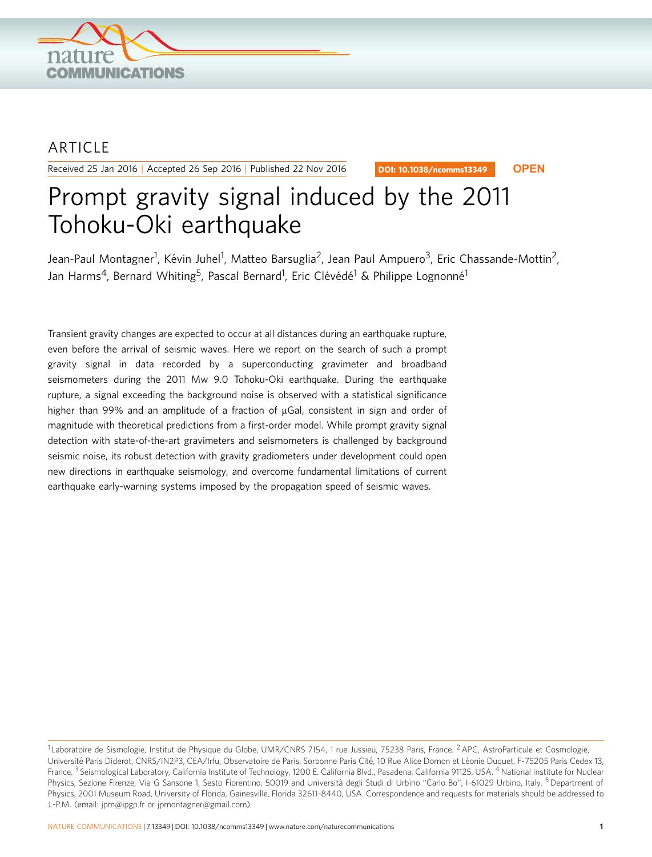

## ARTICLE

Received 25 Jan 2016 | Accepted 26 Sep 2016 | Published 22 Nov 2016

DOI: 10.1038/ncomms13349 **OPEN**

# Prompt gravity signal induced by the 2011 Tohoku-Oki earthquake

Jean-Paul Montagner<sup>1</sup>, Kévin Juhel<sup>1</sup>, Matteo Barsuglia<sup>2</sup>, Jean Paul Ampuero<sup>3</sup>, Eric Chassande-Mottin<sup>2</sup>, Jan Harms<sup>4</sup>, Bernard Whiting<sup>5</sup>, Pascal Bernard<sup>1</sup>, Eric Clévédé<sup>1</sup> & Philippe Lognonné<sup>1</sup>

Transient gravity changes are expected to occur at all distances during an earthquake rupture, even before the arrival of seismic waves. Here we report on the search of such a prompt gravity signal in data recorded by a superconducting gravimeter and broadband seismometers during the 2011 Mw 9.0 Tohoku-Oki earthquake. During the earthquake rupture, a signal exceeding the background noise is observed with a statistical significance higher than 99% and an amplitude of a fraction of  $\mu$ Gal, consistent in sign and order of magnitude with theoretical predictions from a first-order model. While prompt gravity signal detection with state-of-the-art gravimeters and seismometers is challenged by background seismic noise, its robust detection with gravity gradiometers under development could open new directions in earthquake seismology, and overcome fundamental limitations of current earthquake early-warning systems imposed by the propagation speed of seismic waves.

<sup>&</sup>lt;sup>1</sup> Laboratoire de Sismologie, Institut de Physique du Globe, UMR/CNRS 7154, 1 rue Jussieu, 75238 Paris, France. <sup>2</sup> APC, AstroParticule et Cosmologie, Université Paris Diderot, CNRS/IN2P3, CEA/Irfu, Observatoire de Paris, Sorbonne Paris Cité, 10 Rue Alice Domon et Léonie Duquet, F-75205 Paris Cedex 13, France.<sup>3</sup> Seismological Laboratory, California Institute of Technology, 1200 E. California Blvd., Pasadena, California 91125, USA. <sup>4</sup> National Institute for Nuclear Physics, Sezione Firenze, Via G Sansone 1, Sesto Fiorentino, 50019 and Università degli Studi di Urbino "Carlo Bo", I-61029 Urbino, Italy. <sup>5</sup> Department of Physics, 2001 Museum Road, University of Florida, Gainesville, Florida 32611-8440, USA. Correspondence and requests for materials should be addressed to J.-P.M. (email: [jpm@ipgp.fr](mailto:jpm@ipgp.fr) or [jpmontagner@gmail.com](mailto:jpmontagner@gmail.com)).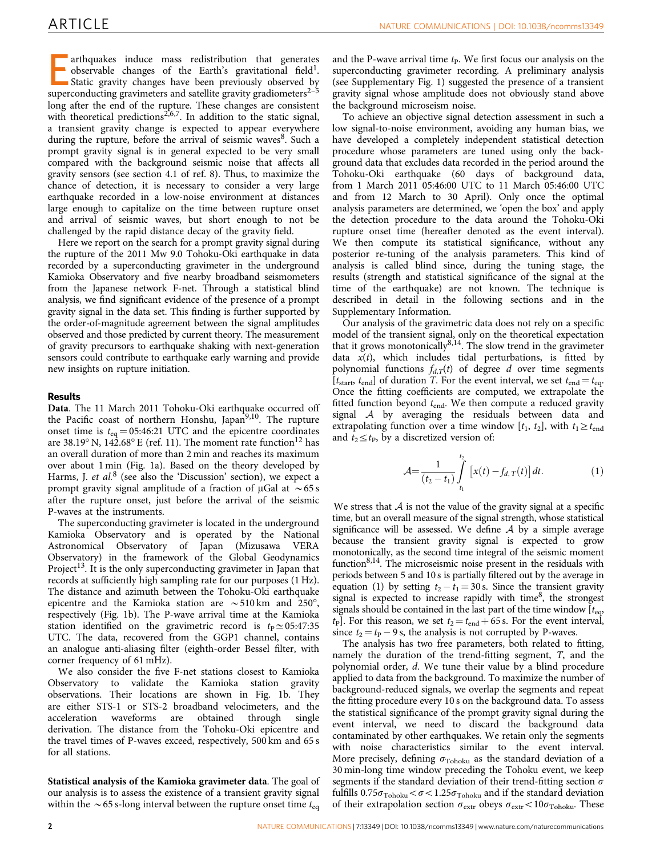arthquakes induce mass redistribution that generates observable changes of the Earth's gravitational field<sup>1</sup>. Static gravity changes have been previously observed by superconducting gravimeters and satellite gravity gradiometers<sup>2-5</sup> long after the end of the rupture. These changes are consistent with theoretical predictions<sup>[2,6,7](#page-5-0)</sup>. In addition to the static signal, a transient gravity change is expected to appear everywhere during the rupture, before the arrival of seismic waves<sup>[8](#page-5-0)</sup>. Such a prompt gravity signal is in general expected to be very small compared with the background seismic noise that affects all gravity sensors (see section 4.1 of [ref. 8](#page-5-0)). Thus, to maximize the chance of detection, it is necessary to consider a very large earthquake recorded in a low-noise environment at distances large enough to capitalize on the time between rupture onset and arrival of seismic waves, but short enough to not be challenged by the rapid distance decay of the gravity field.

Here we report on the search for a prompt gravity signal during the rupture of the 2011 Mw 9.0 Tohoku-Oki earthquake in data recorded by a superconducting gravimeter in the underground Kamioka Observatory and five nearby broadband seismometers from the Japanese network F-net. Through a statistical blind analysis, we find significant evidence of the presence of a prompt gravity signal in the data set. This finding is further supported by the order-of-magnitude agreement between the signal amplitudes observed and those predicted by current theory. The measurement of gravity precursors to earthquake shaking with next-generation sensors could contribute to earthquake early warning and provide new insights on rupture initiation.

### Results

Data. The 11 March 2011 Tohoku-Oki earthquake occurred off the Pacific coast of northern Honshu, Japan $9,10$ . The rupture onset time is  $t_{eq} = 05:46:21$  UTC and the epicentre coordinates are 38.19° N, 142.68° E [\(ref. 11](#page-5-0)). The moment rate function<sup>[12](#page-5-0)</sup> has an overall duration of more than 2 min and reaches its maximum over about 1 min ([Fig. 1a\)](#page-2-0). Based on the theory developed by Harms, J. et al.<sup>[8](#page-5-0)</sup> (see also the 'Discussion' section), we expect a prompt gravity signal amplitude of a fraction of  $\mu$ Gal at  $\sim$  65 s after the rupture onset, just before the arrival of the seismic P-waves at the instruments.

The superconducting gravimeter is located in the underground Kamioka Observatory and is operated by the National Astronomical Observatory of Japan (Mizusawa VERA Observatory) in the framework of the Global Geodynamics Project<sup>13</sup>. It is the only superconducting gravimeter in Japan that records at sufficiently high sampling rate for our purposes (1 Hz). The distance and azimuth between the Tohoku-Oki earthquake epicentre and the Kamioka station are  $\sim$  510 km and 250 $^{\circ}$ , respectively ([Fig. 1b\)](#page-2-0). The P-wave arrival time at the Kamioka station identified on the gravimetric record is  $t_{\rm P} \simeq 05:47:35$ UTC. The data, recovered from the GGP1 channel, contains an analogue anti-aliasing filter (eighth-order Bessel filter, with corner frequency of 61 mHz).

We also consider the five F-net stations closest to Kamioka Observatory to validate the Kamioka station gravity observations. Their locations are shown in [Fig. 1b](#page-2-0). They are either STS-1 or STS-2 broadband velocimeters, and the acceleration waveforms are obtained through single derivation. The distance from the Tohoku-Oki epicentre and the travel times of P-waves exceed, respectively, 500 km and 65 s for all stations.

Statistical analysis of the Kamioka gravimeter data. The goal of our analysis is to assess the existence of a transient gravity signal within the  $\sim$  65 s-long interval between the rupture onset time  $t_{eq}$ 

and the P-wave arrival time  $t<sub>P</sub>$ . We first focus our analysis on the superconducting gravimeter recording. A preliminary analysis (see Supplementary Fig. 1) suggested the presence of a transient gravity signal whose amplitude does not obviously stand above the background microseism noise.

To achieve an objective signal detection assessment in such a low signal-to-noise environment, avoiding any human bias, we have developed a completely independent statistical detection procedure whose parameters are tuned using only the background data that excludes data recorded in the period around the Tohoku-Oki earthquake (60 days of background data, from 1 March 2011 05:46:00 UTC to 11 March 05:46:00 UTC and from 12 March to 30 April). Only once the optimal analysis parameters are determined, we 'open the box' and apply the detection procedure to the data around the Tohoku-Oki rupture onset time (hereafter denoted as the event interval). We then compute its statistical significance, without any posterior re-tuning of the analysis parameters. This kind of analysis is called blind since, during the tuning stage, the results (strength and statistical significance of the signal at the time of the earthquake) are not known. The technique is described in detail in the following sections and in the Supplementary Information.

Our analysis of the gravimetric data does not rely on a specific model of the transient signal, only on the theoretical expectation that it grows monotonically $8,14$ . The slow trend in the gravimeter data  $x(t)$ , which includes tidal perturbations, is fitted by polynomial functions  $f_{d,T}(t)$  of degree d over time segments  $[t<sub>start</sub>, t<sub>end</sub>]$  of duration T. For the event interval, we set  $t<sub>end</sub> = t<sub>eq</sub>$ . Once the fitting coefficients are computed, we extrapolate the fitted function beyond  $t_{end}$ . We then compute a reduced gravity signal A by averaging the residuals between data and extrapolating function over a time window [ $t_1$ ,  $t_2$ ], with  $t_1 \geq t_{end}$ and  $t_2 \leq t_{\text{P}}$ , by a discretized version of:

$$
\mathcal{A} = \frac{1}{(t_2 - t_1)} \int_{t_1}^{t_2} [x(t) - f_{d,T}(t)] dt.
$$
 (1)

We stress that  $A$  is not the value of the gravity signal at a specific time, but an overall measure of the signal strength, whose statistical significance will be assessed. We define  $A$  by a simple average because the transient gravity signal is expected to grow monotonically, as the second time integral of the seismic moment function<sup>8,14</sup>. The microseismic noise present in the residuals with periods between 5 and 10 s is partially filtered out by the average in equation (1) by setting  $t_2 - t_1 = 30$  s. Since the transient gravity signal is expected to increase rapidly with time<sup>[8](#page-5-0)</sup>, the strongest signals should be contained in the last part of the time window  $[t_{eq},$  $t_{\rm P}$ ]. For this reason, we set  $t_2 = t_{\rm end} + 65$  s. For the event interval, since  $t_2 = t_P - 9$  s, the analysis is not corrupted by P-waves.

The analysis has two free parameters, both related to fitting, namely the duration of the trend-fitting segment, T, and the polynomial order, d. We tune their value by a blind procedure applied to data from the background. To maximize the number of background-reduced signals, we overlap the segments and repeat the fitting procedure every 10 s on the background data. To assess the statistical significance of the prompt gravity signal during the event interval, we need to discard the background data contaminated by other earthquakes. We retain only the segments with noise characteristics similar to the event interval. More precisely, defining  $\sigma_{\text{Tohoku}}$  as the standard deviation of a 30 min-long time window preceding the Tohoku event, we keep segments if the standard deviation of their trend-fitting section  $\sigma$ fulfills  $0.75\sigma_{\text{Tohoku}} < \sigma < 1.25\sigma_{\text{Tohoku}}$  and if the standard deviation of their extrapolation section  $\sigma_{\text{extr}}$  obeys  $\sigma_{\text{extr}} < 10\sigma_{\text{Tohoku}}$ . These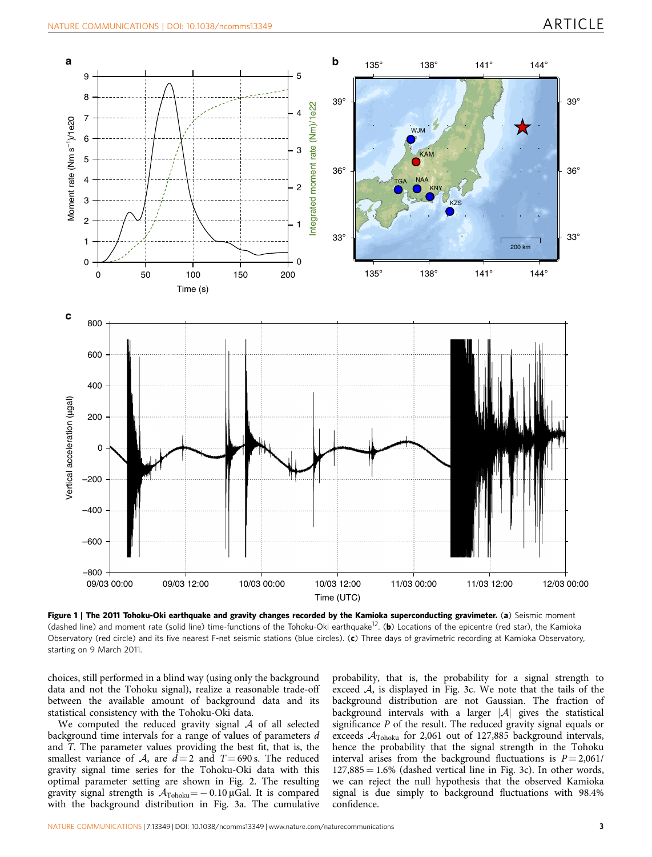<span id="page-2-0"></span>

Figure 1 | The 2011 Tohoku-Oki earthquake and gravity changes recorded by the Kamioka superconducting gravimeter. (a) Seismic moment (dashed line) and moment rate (solid line) time-functions of the Tohoku-Oki earthquake<sup>[12](#page-5-0)</sup>. (b) Locations of the epicentre (red star), the Kamioka Observatory (red circle) and its five nearest F-net seismic stations (blue circles). (c) Three days of gravimetric recording at Kamioka Observatory, starting on 9 March 2011.

choices, still performed in a blind way (using only the background data and not the Tohoku signal), realize a reasonable trade-off between the available amount of background data and its statistical consistency with the Tohoku-Oki data.

We computed the reduced gravity signal  $A$  of all selected background time intervals for a range of values of parameters d and T. The parameter values providing the best fit, that is, the smallest variance of A, are  $d=2$  and  $T=690$  s. The reduced gravity signal time series for the Tohoku-Oki data with this optimal parameter setting are shown in [Fig. 2](#page-3-0). The resulting gravity signal strength is  $\mathcal{A}_{\rm Tohoku}$   $=$   $-$  0.10  $\mu$ Gal. It is compared with the background distribution in [Fig. 3a.](#page-4-0) The cumulative

probability, that is, the probability for a signal strength to exceed A, is displayed in [Fig. 3c](#page-4-0). We note that the tails of the background distribution are not Gaussian. The fraction of background intervals with a larger  $|A|$  gives the statistical significance P of the result. The reduced gravity signal equals or exceeds  $A_{\text{Tohoku}}$  for 2,061 out of 127,885 background intervals, hence the probability that the signal strength in the Tohoku interval arises from the background fluctuations is  $P = 2,061/$  $127,885 = 1.6\%$  (dashed vertical line in [Fig. 3c\)](#page-4-0). In other words, we can reject the null hypothesis that the observed Kamioka signal is due simply to background fluctuations with 98.4% confidence.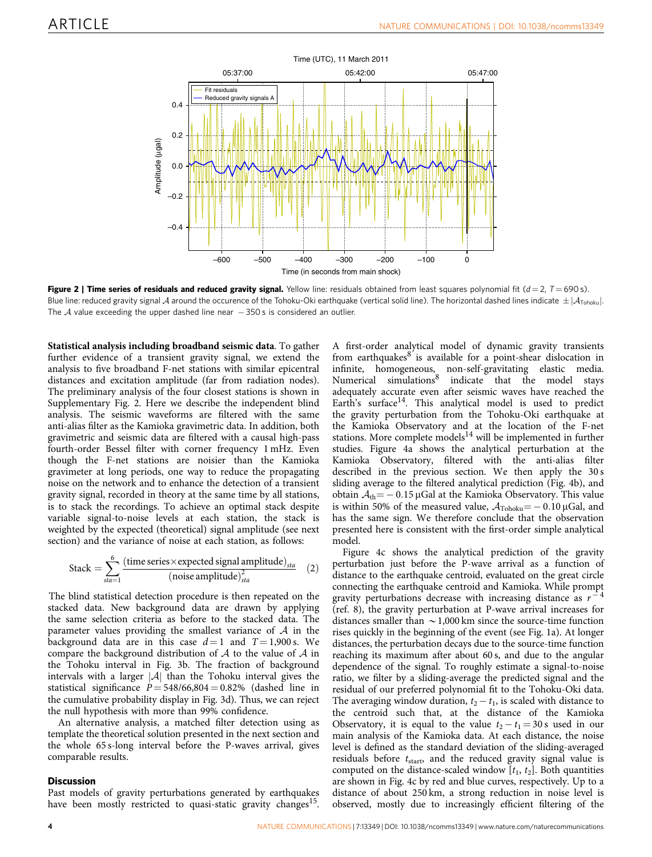<span id="page-3-0"></span>

Figure 2 | Time series of residuals and reduced gravity signal. Yellow line: residuals obtained from least squares polynomial fit  $(d=2, T=690 s)$ . Blue line: reduced gravity signal A around the occurence of the Tohoku-Oki earthquake (vertical solid line). The horizontal dashed lines indicate  $\pm |\mathcal{A}_{\text{Tohoku}}|$ . The  $\mathcal A$  value exceeding the upper dashed line near  $-$  350s is considered an outlier.

Statistical analysis including broadband seismic data. To gather further evidence of a transient gravity signal, we extend the analysis to five broadband F-net stations with similar epicentral distances and excitation amplitude (far from radiation nodes). The preliminary analysis of the four closest stations is shown in Supplementary Fig. 2. Here we describe the independent blind analysis. The seismic waveforms are filtered with the same anti-alias filter as the Kamioka gravimetric data. In addition, both gravimetric and seismic data are filtered with a causal high-pass fourth-order Bessel filter with corner frequency 1 mHz. Even though the F-net stations are noisier than the Kamioka gravimeter at long periods, one way to reduce the propagating noise on the network and to enhance the detection of a transient gravity signal, recorded in theory at the same time by all stations, is to stack the recordings. To achieve an optimal stack despite variable signal-to-noise levels at each station, the stack is weighted by the expected (theoretical) signal amplitude (see next section) and the variance of noise at each station, as follows:

Stack = 
$$
\sum_{sta=1}^{6} \frac{\text{(time series × expected signal amplitude)}_{sta}}{\text{(noise amplitude)}_{sta}^2}
$$
 (2)

The blind statistical detection procedure is then repeated on the stacked data. New background data are drawn by applying the same selection criteria as before to the stacked data. The parameter values providing the smallest variance of  $A$  in the background data are in this case  $d=1$  and  $T=1,900$  s. We compare the background distribution of  $A$  to the value of  $A$  in the Tohoku interval in [Fig. 3b](#page-4-0). The fraction of background intervals with a larger  $|\mathcal{A}|$  than the Tohoku interval gives the statistical significance  $P = 548/66,804 = 0.82\%$  (dashed line in the cumulative probability display in [Fig. 3d\)](#page-4-0). Thus, we can reject the null hypothesis with more than 99% confidence.

An alternative analysis, a matched filter detection using as template the theoretical solution presented in the next section and the whole 65 s-long interval before the P-waves arrival, gives comparable results.

#### **Discussion**

Past models of gravity perturbations generated by earthquakes have been mostly restricted to quasi-static gravity changes<sup>15</sup>.

A first-order analytical model of dynamic gravity transients from earthquakes $8$  is available for a point-shear dislocation in infinite, homogeneous, non-self-gravitating elastic media. Numerical simulations<sup>[8](#page-5-0)</sup> indicate that the model stays adequately accurate even after seismic waves have reached the Earth's surface<sup>[14](#page-5-0)</sup>. This analytical model is used to predict the gravity perturbation from the Tohoku-Oki earthquake at the Kamioka Observatory and at the location of the F-net stations. More complete models $^{14}$  $^{14}$  $^{14}$  will be implemented in further studies. [Figure 4a](#page-5-0) shows the analytical perturbation at the Kamioka Observatory, filtered with the anti-alias filter described in the previous section. We then apply the 30 s sliding average to the filtered analytical prediction ([Fig. 4b](#page-5-0)), and obtain  $A_{\text{th}} = -0.15 \,\mu$ Gal at the Kamioka Observatory. This value is within 50% of the measured value,  $A_{\text{Tohoku}} = -0.10 \,\mu\text{Gal}$ , and has the same sign. We therefore conclude that the observation presented here is consistent with the first-order simple analytical model.

[Figure 4c](#page-5-0) shows the analytical prediction of the gravity perturbation just before the P-wave arrival as a function of distance to the earthquake centroid, evaluated on the great circle connecting the earthquake centroid and Kamioka. While prompt gravity perturbations decrease with increasing distance as  $r^{-4}$ ([ref. 8](#page-5-0)), the gravity perturbation at P-wave arrival increases for distances smaller than  $\sim$  1,000 km since the source-time function rises quickly in the beginning of the event (see [Fig. 1a\)](#page-2-0). At longer distances, the perturbation decays due to the source-time function reaching its maximum after about 60 s, and due to the angular dependence of the signal. To roughly estimate a signal-to-noise ratio, we filter by a sliding-average the predicted signal and the residual of our preferred polynomial fit to the Tohoku-Oki data. The averaging window duration,  $t_2 - t_1$ , is scaled with distance to the centroid such that, at the distance of the Kamioka Observatory, it is equal to the value  $t_2 - t_1 = 30$  s used in our main analysis of the Kamioka data. At each distance, the noise level is defined as the standard deviation of the sliding-averaged residuals before  $t_{\text{start}}$ , and the reduced gravity signal value is computed on the distance-scaled window  $[t_1, t_2]$ . Both quantities are shown in [Fig. 4c](#page-5-0) by red and blue curves, respectively. Up to a distance of about 250 km, a strong reduction in noise level is observed, mostly due to increasingly efficient filtering of the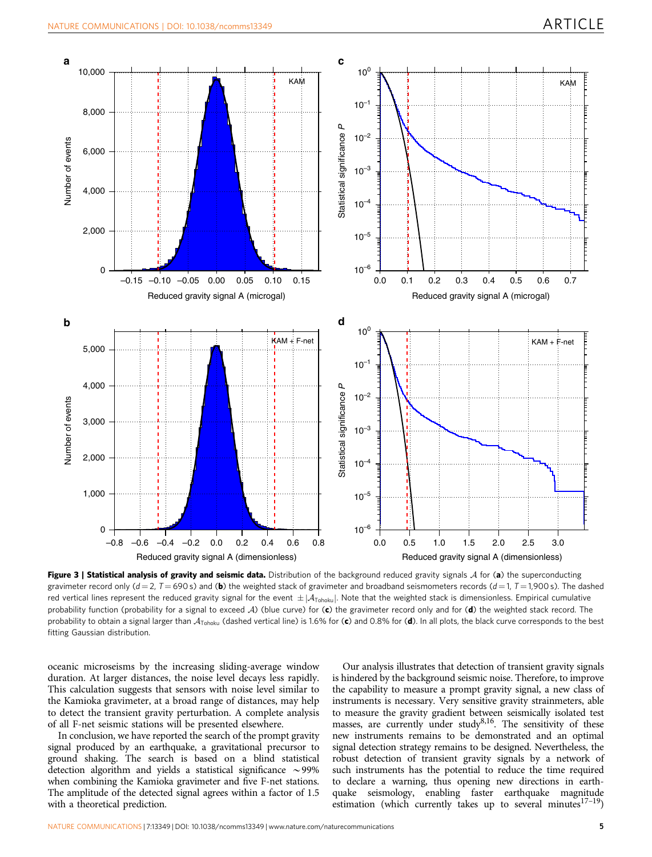<span id="page-4-0"></span>

Figure 3 | Statistical analysis of gravity and seismic data. Distribution of the background reduced gravity signals  $A$  for (a) the superconducting gravimeter record only  $(d=2, T=690 s)$  and (b) the weighted stack of gravimeter and broadband seismometers records  $(d=1, T=1,900 s)$ . The dashed red vertical lines represent the reduced gravity signal for the event  $\pm |A_{\text{Tohoku}}|$ . Note that the weighted stack is dimensionless. Empirical cumulative probability function (probability for a signal to exceed  $A$ ) (blue curve) for (c) the gravimeter record only and for (d) the weighted stack record. The probability to obtain a signal larger than  $A_{\text{Tohoku}}$  (dashed vertical line) is 1.6% for (c) and 0.8% for (d). In all plots, the black curve corresponds to the best fitting Gaussian distribution.

oceanic microseisms by the increasing sliding-average window duration. At larger distances, the noise level decays less rapidly. This calculation suggests that sensors with noise level similar to the Kamioka gravimeter, at a broad range of distances, may help to detect the transient gravity perturbation. A complete analysis of all F-net seismic stations will be presented elsewhere.

In conclusion, we have reported the search of the prompt gravity signal produced by an earthquake, a gravitational precursor to ground shaking. The search is based on a blind statistical detection algorithm and yields a statistical significance  $\sim$ 99% when combining the Kamioka gravimeter and five F-net stations. The amplitude of the detected signal agrees within a factor of 1.5 with a theoretical prediction.

Our analysis illustrates that detection of transient gravity signals is hindered by the background seismic noise. Therefore, to improve the capability to measure a prompt gravity signal, a new class of instruments is necessary. Very sensitive gravity strainmeters, able to measure the gravity gradient between seismically isolated test masses, are currently under study<sup>8,16</sup>. The sensitivity of these new instruments remains to be demonstrated and an optimal signal detection strategy remains to be designed. Nevertheless, the robust detection of transient gravity signals by a network of such instruments has the potential to reduce the time required to declare a warning, thus opening new directions in earthquake seismology, enabling faster earthquake magnitude estimation (which currently takes up to several minutes $17-19$ )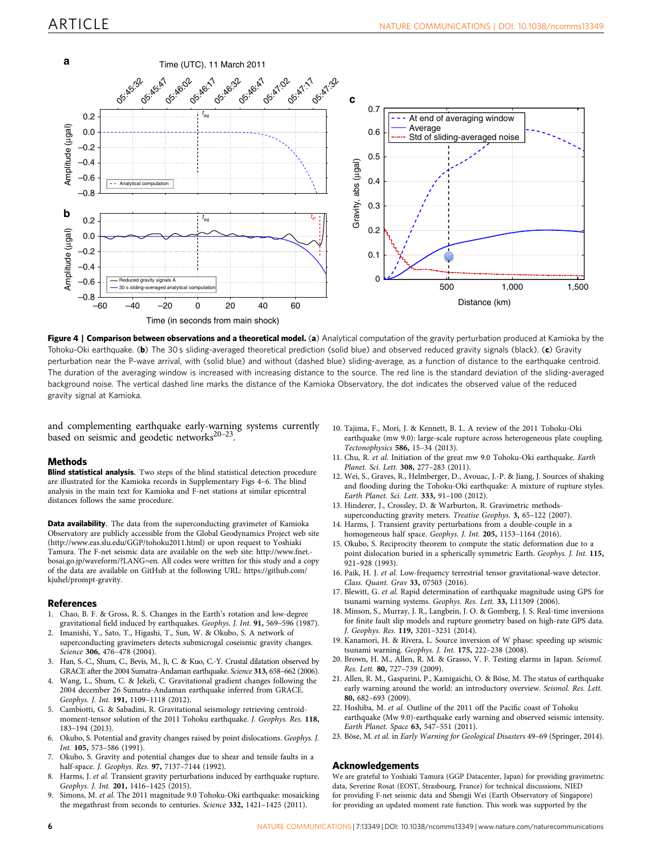<span id="page-5-0"></span>

Figure 4 | Comparison between observations and a theoretical model. (a) Analytical computation of the gravity perturbation produced at Kamioka by the Tohoku-Oki earthquake. (b) The 30 s sliding-averaged theoretical prediction (solid blue) and observed reduced gravity signals (black). (c) Gravity perturbation near the P-wave arrival, with (solid blue) and without (dashed blue) sliding-average, as a function of distance to the earthquake centroid. The duration of the averaging window is increased with increasing distance to the source. The red line is the standard deviation of the sliding-averaged background noise. The vertical dashed line marks the distance of the Kamioka Observatory, the dot indicates the observed value of the reduced gravity signal at Kamioka.

and complementing earthquake early-warning systems currently based on seismic and geodetic networks $20-23$ .

#### Methods

Blind statistical analysis. Two steps of the blind statistical detection procedure are illustrated for the Kamioka records in Supplementary Figs 4–6. The blind analysis in the main text for Kamioka and F-net stations at similar epicentral distances follows the same procedure.

Data availability. The data from the superconducting gravimeter of Kamioka Observatory are publicly accessible from the Global Geodynamics Project web site [\(http://www.eas.slu.edu/GGP/tohoku2011.html\)](http://www.eas.slu.edu/GGP/tohoku2011.html) or upon request to Yoshiaki Tamura. The F-net seismic data are available on the web site: [http://www.fnet.](http://www.fnet.bosai.go.jp/waveform/?LANG=en) [bosai.go.jp/waveform/?LANG=en.](http://www.fnet.bosai.go.jp/waveform/?LANG=en) All codes were written for this study and a copy of the data are available on GitHub at the following URL: [https://github.com/](https://github.com/kjuhel/prompt-gravity) [kjuhel/prompt-gravity](https://github.com/kjuhel/prompt-gravity).

#### References

- 1. Chao, B. F. & Gross, R. S. Changes in the Earth's rotation and low-degree gravitational field induced by earthquakes. Geophys. J. Int. 91, 569–596 (1987).
- 2. Imanishi, Y., Sato, T., Higashi, T., Sun, W. & Okubo, S. A network of superconducting gravimeters detects submicrogal coseismic gravity changes. Science 306, 476-478 (2004).
- 3. Han, S.-C., Shum, C., Bevis, M., Ji, C. & Kuo, C.-Y. Crustal dilatation observed by GRACE after the 2004 Sumatra-Andaman earthquake. Science 313, 658–662 (2006).
- 4. Wang, L., Shum, C. & Jekeli, C. Gravitational gradient changes following the 2004 december 26 Sumatra-Andaman earthquake inferred from GRACE. Geophys. J. Int. 191, 1109–1118 (2012).
- 5. Cambiotti, G. & Sabadini, R. Gravitational seismology retrieving centroidmoment-tensor solution of the 2011 Tohoku earthquake. J. Geophys. Res. 118, 183–194 (2013).
- 6. Okubo, S. Potential and gravity changes raised by point dislocations. Geophys. J. Int. 105, 573–586 (1991).
- 7. Okubo, S. Gravity and potential changes due to shear and tensile faults in a half-space. J. Geophys. Res. 97, 7137–7144 (1992).
- 8. Harms, J. et al. Transient gravity perturbations induced by earthquake rupture. Geophys. J. Int. 201, 1416–1425 (2015).
- 9. Simons, M. et al. The 2011 magnitude 9.0 Tohoku-Oki earthquake: mosaicking the megathrust from seconds to centuries. Science 332, 1421-1425 (2011).
- 10. Tajima, F., Mori, J. & Kennett, B. L. A review of the 2011 Tohoku-Oki earthquake (mw 9.0): large-scale rupture across heterogeneous plate coupling. Tectonophysics 586, 15–34 (2013).
- 11. Chu, R. et al. Initiation of the great mw 9.0 Tohoku-Oki earthquake. Earth Planet. Sci. Lett. 308, 277–283 (2011).
- 12. Wei, S., Graves, R., Helmberger, D., Avouac, J.-P. & Jiang, J. Sources of shaking and flooding during the Tohoku-Oki earthquake: A mixture of rupture styles. Earth Planet. Sci. Lett. 333, 91–100 (2012).
- 13. Hinderer, J., Crossley, D. & Warburton, R. Gravimetric methodssuperconducting gravity meters. Treatise Geophys. 3, 65–122 (2007).
- 14. Harms, J. Transient gravity perturbations from a double-couple in a homogeneous half space. Geophys. J. Int. 205, 1153–1164 (2016).
- 15. Okubo, S. Reciprocity theorem to compute the static deformation due to a point dislocation buried in a spherically symmetric Earth. Geophys. J. Int. 115, 921–928 (1993).
- 16. Paik, H. J. et al. Low-frequency terrestrial tensor gravitational-wave detector. Class. Quant. Grav 33, 07503 (2016).
- 17. Blewitt, G. et al. Rapid determination of earthquake magnitude using GPS for tsunami warning systems. Geophys. Res. Lett. 33, L11309 (2006).
- 18. Minson, S., Murray, J. R., Langbein, J. O. & Gomberg, J. S. Real-time inversions for finite fault slip models and rupture geometry based on high-rate GPS data. J. Geophys. Res. 119, 3201–3231 (2014).
- 19. Kanamori, H. & Rivera, L. Source inversion of W phase: speeding up seismic tsunami warning. Geophys. J. Int. 175, 222–238 (2008).
- 20. Brown, H. M., Allen, R. M. & Grasso, V. F. Testing elarms in Japan. Seismol. Res. Lett. 80, 727–739 (2009).
- 21. Allen, R. M., Gasparini, P., Kamigaichi, O. & Böse, M. The status of earthquake early warning around the world: an introductory overview. Seismol. Res. Lett. 80, 682–693 (2009).
- 22. Hoshiba, M. et al. Outline of the 2011 off the Pacific coast of Tohoku earthquake (Mw 9.0)-earthquake early warning and observed seismic intensity. Earth Planet. Space 63, 547–551 (2011).
- 23. Böse, M. et al. in Early Warning for Geological Disasters 49-69 (Springer, 2014).

#### Acknowledgements

We are grateful to Yoshiaki Tamura (GGP Datacenter, Japan) for providing gravimetric data, Severine Rosat (EOST, Strasbourg, France) for technical discussions, NIED for providing F-net seismic data and Shengji Wei (Earth Observatory of Singapore) for providing an updated moment rate function. This work was supported by the